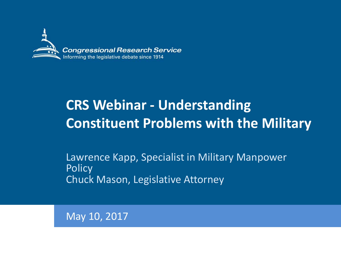

# **CRS Webinar - Understanding Constituent Problems with the Military**

Lawrence Kapp, Specialist in Military Manpower **Policy** Chuck Mason, Legislative Attorney

May 10, 2017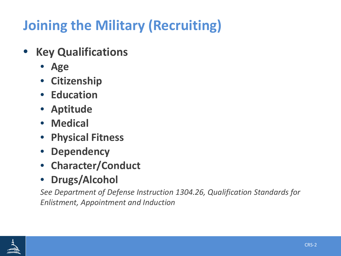# **Joining the Military (Recruiting)**

- **Key Qualifications** 
	- **Age**
	- **Citizenship**
	- **Education**
	- **Aptitude**
	- **Medical**
	- **Physical Fitness**
	- **Dependency**
	- **Character/Conduct**
	- **Drugs/Alcohol**

*See Department of Defense Instruction 1304.26, Qualification Standards for Enlistment, Appointment and Induction*

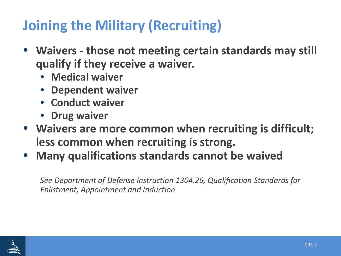# **Joining the Military (Recruiting)**

- **Waivers - those not meeting certain standards may still qualify if they receive a waiver.**
	- **Medical waiver**
	- **Dependent waiver**
	- **Conduct waiver**
	- **Drug waiver**
- **Waivers are more common when recruiting is difficult; less common when recruiting is strong.**
- **Many qualifications standards cannot be waived**

*See Department of Defense Instruction 1304.26, Qualification Standards for Enlistment, Appointment and Induction*

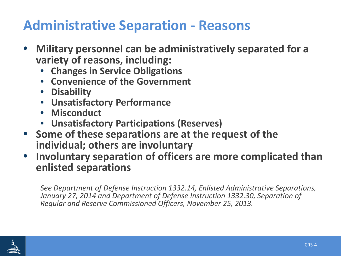### **Administrative Separation - Reasons**

- **Military personnel can be administratively separated for a variety of reasons, including:**
	- **Changes in Service Obligations**
	- **Convenience of the Government**
	- **Disability**
	- **Unsatisfactory Performance**
	- **Misconduct**
	- **Unsatisfactory Participations (Reserves)**
- **Some of these separations are at the request of the individual; others are involuntary**
- **Involuntary separation of officers are more complicated than enlisted separations**

*See Department of Defense Instruction 1332.14, Enlisted Administrative Separations, January 27, 2014 and Department of Defense Instruction 1332.30, Separation of Regular and Reserve Commissioned Officers, November 25, 2013.* 

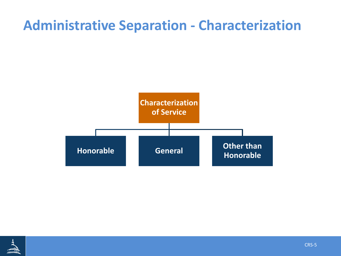#### **Administrative Separation - Characterization**



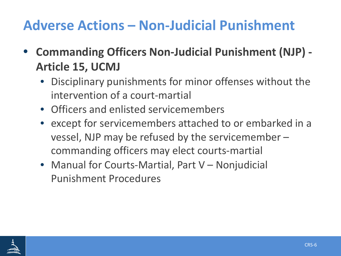## **Adverse Actions – Non-Judicial Punishment**

- **Commanding Officers Non-Judicial Punishment (NJP) - Article 15, UCMJ**
	- Disciplinary punishments for minor offenses without the intervention of a court-martial
	- Officers and enlisted servicemembers
	- except for servicemembers attached to or embarked in a vessel, NJP may be refused by the servicemember – commanding officers may elect courts-martial
	- Manual for Courts-Martial, Part V Nonjudicial Punishment Procedures

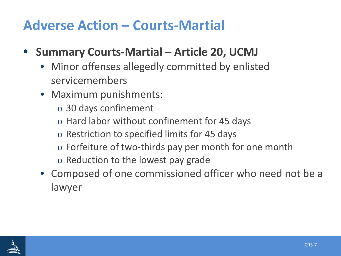### **Adverse Action – Courts-Martial**

- **Summary Courts-Martial – Article 20, UCMJ**
	- Minor offenses allegedly committed by enlisted servicemembers
	- Maximum punishments:
		- o 30 days confinement
		- o Hard labor without confinement for 45 days
		- o Restriction to specified limits for 45 days
		- o Forfeiture of two-thirds pay per month for one month
		- o Reduction to the lowest pay grade
	- Composed of one commissioned officer who need not be a lawyer

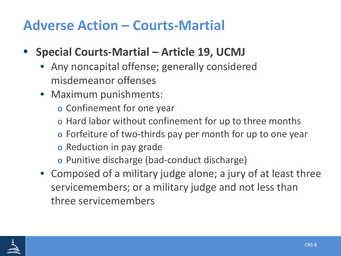### **Adverse Action – Courts-Martial**

- **Special Courts-Martial – Article 19, UCMJ**
	- Any noncapital offense; generally considered misdemeanor offenses
	- Maximum punishments:
		- o Confinement for one year
		- o Hard labor without confinement for up to three months
		- o Forfeiture of two-thirds pay per month for up to one year
		- o Reduction in pay grade
		- o Punitive discharge (bad-conduct discharge)
	- Composed of a military judge alone; a jury of at least three servicemembers; or a military judge and not less than three servicemembers

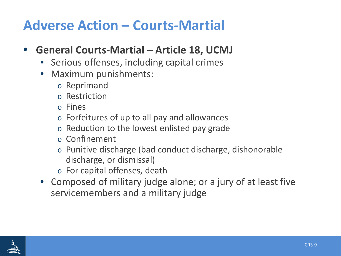### **Adverse Action – Courts-Martial**

#### • **General Courts-Martial – Article 18, UCMJ**

- Serious offenses, including capital crimes
- Maximum punishments:
	- o Reprimand
	- o Restriction
	- o Fines
	- o Forfeitures of up to all pay and allowances
	- o Reduction to the lowest enlisted pay grade
	- o Confinement
	- o Punitive discharge (bad conduct discharge, dishonorable discharge, or dismissal)
	- o For capital offenses, death
- Composed of military judge alone; or a jury of at least five servicemembers and a military judge

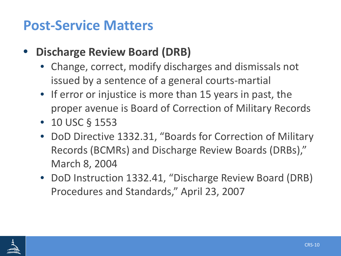#### **Post-Service Matters**

- **Discharge Review Board (DRB)**
	- Change, correct, modify discharges and dismissals not issued by a sentence of a general courts-martial
	- If error or injustice is more than 15 years in past, the proper avenue is Board of Correction of Military Records
	- 10 USC § 1553
	- DoD Directive 1332.31, "Boards for Correction of Military Records (BCMRs) and Discharge Review Boards (DRBs)," March 8, 2004
	- DoD Instruction 1332.41, "Discharge Review Board (DRB) Procedures and Standards," April 23, 2007

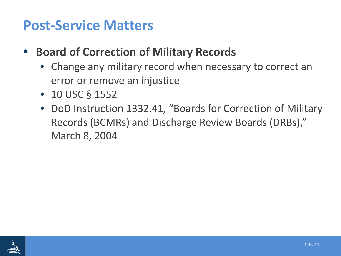#### **Post-Service Matters**

- **Board of Correction of Military Records**
	- Change any military record when necessary to correct an error or remove an injustice
	- 10 USC § 1552
	- DoD Instruction 1332.41, "Boards for Correction of Military Records (BCMRs) and Discharge Review Boards (DRBs)," March 8, 2004

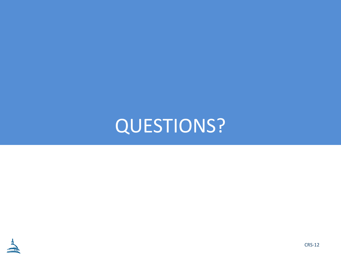QUESTIONS?